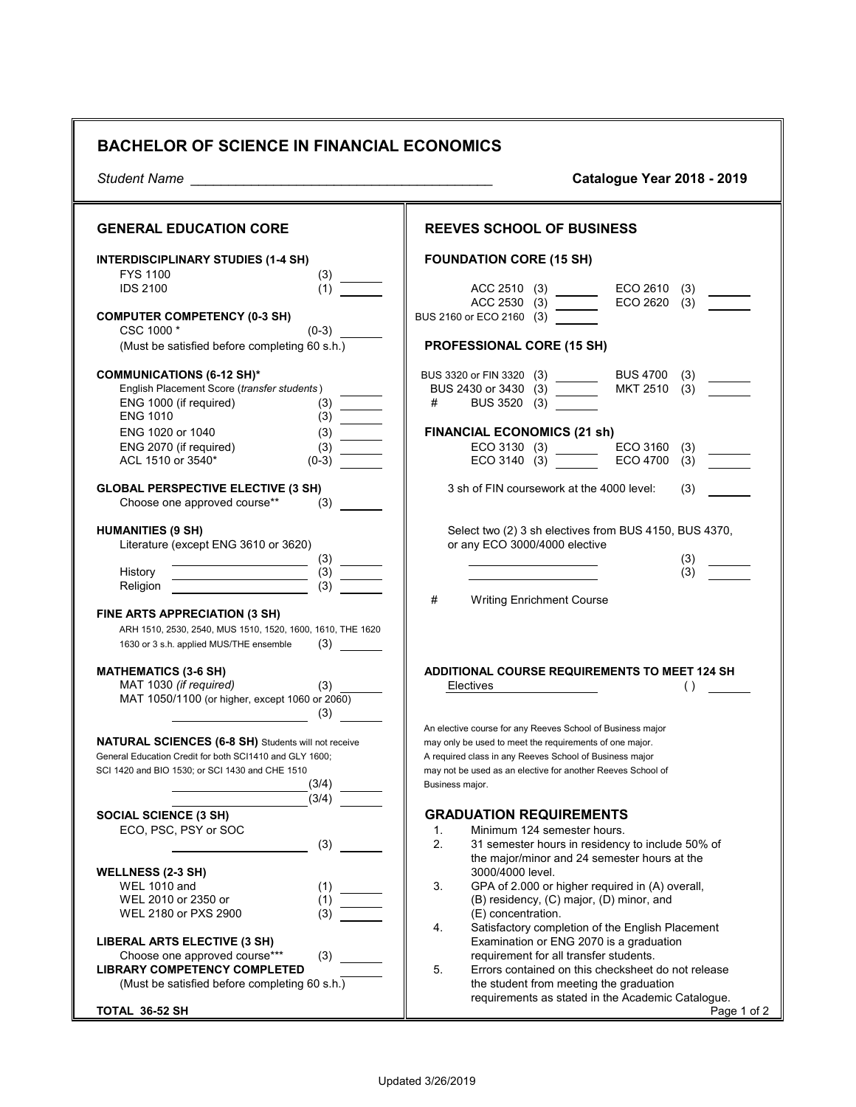## **BACHELOR OF SCIENCE IN FINANCIAL ECONOMICS**

| Student Name                                                                                                                        | Catalogue Year 2018 - 2019                                                                                            |
|-------------------------------------------------------------------------------------------------------------------------------------|-----------------------------------------------------------------------------------------------------------------------|
| <b>GENERAL EDUCATION CORE</b>                                                                                                       | <b>REEVES SCHOOL OF BUSINESS</b>                                                                                      |
| <b>INTERDISCIPLINARY STUDIES (1-4 SH)</b><br><b>FYS 1100</b>                                                                        | <b>FOUNDATION CORE (15 SH)</b>                                                                                        |
| <b>IDS 2100</b><br>(1)                                                                                                              | ACC 2510 (3)<br>$ECO 2610$ (3)<br>ACC 2530 (3)<br>ECO 2620 (3)                                                        |
| <b>COMPUTER COMPETENCY (0-3 SH)</b><br>$(0-3)$<br>CSC 1000 *                                                                        | BUS 2160 or ECO 2160 (3)                                                                                              |
| (Must be satisfied before completing 60 s.h.)                                                                                       | PROFESSIONAL CORE (15 SH)                                                                                             |
| <b>COMMUNICATIONS (6-12 SH)*</b><br>English Placement Score (transfer students)<br>ENG 1000 (if required)<br>(3)<br><b>ENG 1010</b> | BUS 3320 or FIN 3320 (3) _______<br>BUS 4700 (3)<br>MKT 2510 (3)<br>BUS 2430 or 3430 (3) _______<br>BUS 3520 (3)<br># |
| ENG 1020 or 1040<br>(3)<br>$\mathcal{L}^{\text{max}}$ and $\mathcal{L}^{\text{max}}$                                                | <b>FINANCIAL ECONOMICS (21 sh)</b>                                                                                    |
| ENG 2070 (if required)<br>(3)                                                                                                       | ECO 3130 (3) ECO 3160 (3)<br>ECO 3140 (3) ECO 4700 (3)                                                                |
| ACL 1510 or 3540*<br>$(0-3)$                                                                                                        |                                                                                                                       |
| <b>GLOBAL PERSPECTIVE ELECTIVE (3 SH)</b><br>Choose one approved course**<br>(3)                                                    | 3 sh of FIN coursework at the 4000 level:<br>(3)                                                                      |
| <b>HUMANITIES (9 SH)</b>                                                                                                            | Select two (2) 3 sh electives from BUS 4150, BUS 4370,                                                                |
| Literature (except ENG 3610 or 3620)                                                                                                | or any ECO 3000/4000 elective                                                                                         |
| $\frac{3}{(3)}$ $\frac{1}{(3)}$<br>History                                                                                          | (3)<br>(3)                                                                                                            |
| (3)<br>Religion                                                                                                                     |                                                                                                                       |
|                                                                                                                                     | #<br><b>Writing Enrichment Course</b>                                                                                 |
| FINE ARTS APPRECIATION (3 SH)<br>ARH 1510, 2530, 2540, MUS 1510, 1520, 1600, 1610, THE 1620                                         |                                                                                                                       |
| (3)<br>1630 or 3 s.h. applied MUS/THE ensemble                                                                                      |                                                                                                                       |
| <b>MATHEMATICS (3-6 SH)</b>                                                                                                         | ADDITIONAL COURSE REQUIREMENTS TO MEET 124 SH                                                                         |
| MAT 1030 (if required)                                                                                                              | Electives<br>$\left( \right)$                                                                                         |
| MAT 1050/1100 (or higher, except 1060 or 2060)                                                                                      |                                                                                                                       |
| (3)                                                                                                                                 | An elective course for any Reeves School of Business major                                                            |
| NATURAL SCIENCES (6-8 SH) Students will not receive                                                                                 | may only be used to meet the requirements of one major.                                                               |
| General Education Credit for both SCI1410 and GLY 1600;                                                                             | A required class in any Reeves School of Business major                                                               |
| SCI 1420 and BIO 1530; or SCI 1430 and CHE 1510<br>(3/4)                                                                            | may not be used as an elective for another Reeves School of<br>Business major.                                        |
| (3/4)                                                                                                                               |                                                                                                                       |
| <b>SOCIAL SCIENCE (3 SH)</b>                                                                                                        | <b>GRADUATION REQUIREMENTS</b>                                                                                        |
| ECO, PSC, PSY or SOC                                                                                                                | Minimum 124 semester hours.<br>1.                                                                                     |
| (3)                                                                                                                                 | 2.<br>31 semester hours in residency to include 50% of<br>the major/minor and 24 semester hours at the                |
| <b>WELLNESS (2-3 SH)</b>                                                                                                            | 3000/4000 level.                                                                                                      |
| <b>WEL 1010 and</b><br>(1)                                                                                                          | 3.<br>GPA of 2.000 or higher required in (A) overall,                                                                 |
| WEL 2010 or 2350 or<br>(1)                                                                                                          | (B) residency, (C) major, (D) minor, and                                                                              |
| WEL 2180 or PXS 2900<br>(3)                                                                                                         | (E) concentration.<br>4.<br>Satisfactory completion of the English Placement                                          |
| LIBERAL ARTS ELECTIVE (3 SH)                                                                                                        | Examination or ENG 2070 is a graduation                                                                               |
| Choose one approved course***<br>(3)                                                                                                | requirement for all transfer students.                                                                                |
| <b>LIBRARY COMPETENCY COMPLETED</b>                                                                                                 | 5.<br>Errors contained on this checksheet do not release                                                              |
| (Must be satisfied before completing 60 s.h.)                                                                                       | the student from meeting the graduation<br>requirements as stated in the Academic Catalogue.                          |
| TOTAL 36-52 SH                                                                                                                      | Page 1 of 2                                                                                                           |